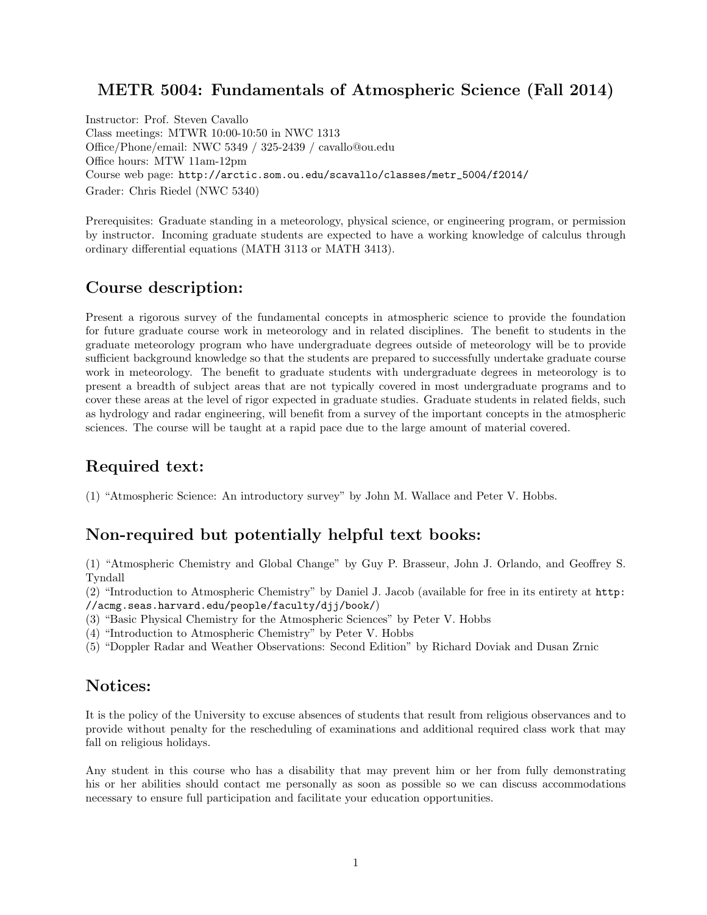## METR 5004: Fundamentals of Atmospheric Science (Fall 2014)

Instructor: Prof. Steven Cavallo Class meetings: MTWR 10:00-10:50 in NWC 1313 Office/Phone/email: NWC 5349 / 325-2439 / cavallo@ou.edu Office hours: MTW 11am-12pm Course web page: [http://arctic.som.ou.edu/scavallo/classes/metr\\_5004/f2014/](http://arctic.som.ou.edu/scavallo/classes/metr_5004/f2014/) Grader: Chris Riedel (NWC 5340)

Prerequisites: Graduate standing in a meteorology, physical science, or engineering program, or permission by instructor. Incoming graduate students are expected to have a working knowledge of calculus through ordinary differential equations (MATH 3113 or MATH 3413).

# Course description:

Present a rigorous survey of the fundamental concepts in atmospheric science to provide the foundation for future graduate course work in meteorology and in related disciplines. The benefit to students in the graduate meteorology program who have undergraduate degrees outside of meteorology will be to provide sufficient background knowledge so that the students are prepared to successfully undertake graduate course work in meteorology. The benefit to graduate students with undergraduate degrees in meteorology is to present a breadth of subject areas that are not typically covered in most undergraduate programs and to cover these areas at the level of rigor expected in graduate studies. Graduate students in related fields, such as hydrology and radar engineering, will benefit from a survey of the important concepts in the atmospheric sciences. The course will be taught at a rapid pace due to the large amount of material covered.

# Required text:

(1) "Atmospheric Science: An introductory survey" by John M. Wallace and Peter V. Hobbs.

# Non-required but potentially helpful text books:

(1) "Atmospheric Chemistry and Global Change" by Guy P. Brasseur, John J. Orlando, and Geoffrey S. Tyndall

(2) "Introduction to Atmospheric Chemistry" by Daniel J. Jacob (available for free in its entirety at [http:](http://acmg.seas.harvard.edu/people/faculty/djj/book/) [//acmg.seas.harvard.edu/people/faculty/djj/book/](http://acmg.seas.harvard.edu/people/faculty/djj/book/))

- (3) "Basic Physical Chemistry for the Atmospheric Sciences" by Peter V. Hobbs
- (4) "Introduction to Atmospheric Chemistry" by Peter V. Hobbs
- (5) "Doppler Radar and Weather Observations: Second Edition" by Richard Doviak and Dusan Zrnic

## Notices:

It is the policy of the University to excuse absences of students that result from religious observances and to provide without penalty for the rescheduling of examinations and additional required class work that may fall on religious holidays.

Any student in this course who has a disability that may prevent him or her from fully demonstrating his or her abilities should contact me personally as soon as possible so we can discuss accommodations necessary to ensure full participation and facilitate your education opportunities.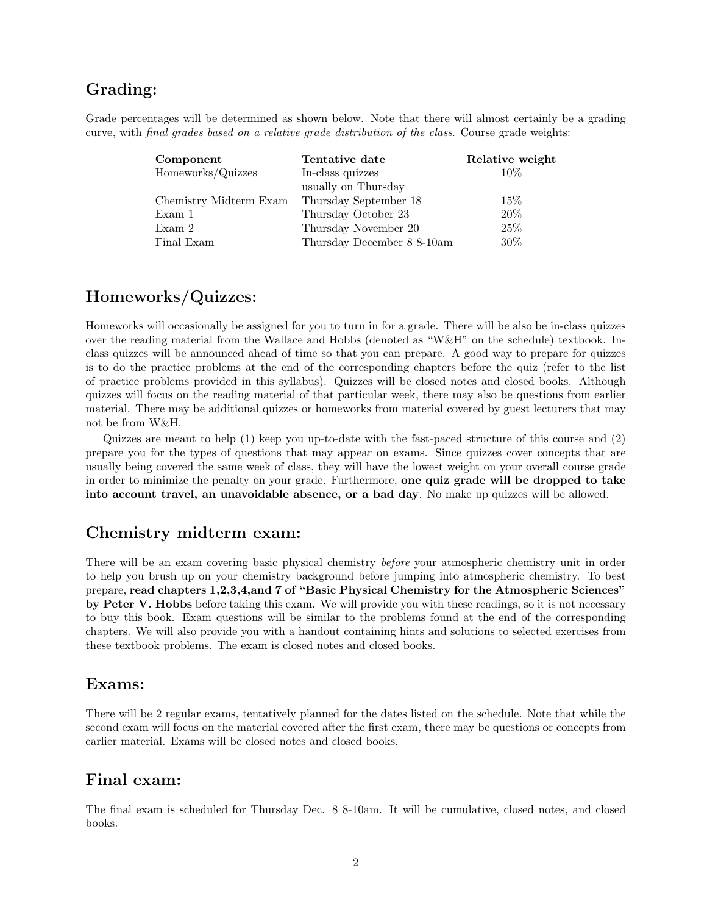## Grading:

Grade percentages will be determined as shown below. Note that there will almost certainly be a grading curve, with final grades based on a relative grade distribution of the class. Course grade weights:

| Component              | Tentative date             | Relative weight |
|------------------------|----------------------------|-----------------|
| Homeworks/Quizzes      | In-class quizzes           | $10\%$          |
|                        | usually on Thursday        |                 |
| Chemistry Midterm Exam | Thursday September 18      | $15\%$          |
| Exam 1                 | Thursday October 23        | 20%             |
| Exam 2                 | Thursday November 20       | 25%             |
| Final Exam             | Thursday December 8 8-10am | $30\%$          |

## Homeworks/Quizzes:

Homeworks will occasionally be assigned for you to turn in for a grade. There will be also be in-class quizzes over the reading material from the Wallace and Hobbs (denoted as "W&H" on the schedule) textbook. Inclass quizzes will be announced ahead of time so that you can prepare. A good way to prepare for quizzes is to do the practice problems at the end of the corresponding chapters before the quiz (refer to the list of practice problems provided in this syllabus). Quizzes will be closed notes and closed books. Although quizzes will focus on the reading material of that particular week, there may also be questions from earlier material. There may be additional quizzes or homeworks from material covered by guest lecturers that may not be from W&H.

Quizzes are meant to help (1) keep you up-to-date with the fast-paced structure of this course and (2) prepare you for the types of questions that may appear on exams. Since quizzes cover concepts that are usually being covered the same week of class, they will have the lowest weight on your overall course grade in order to minimize the penalty on your grade. Furthermore, one quiz grade will be dropped to take into account travel, an unavoidable absence, or a bad day. No make up quizzes will be allowed.

## Chemistry midterm exam:

There will be an exam covering basic physical chemistry before your atmospheric chemistry unit in order to help you brush up on your chemistry background before jumping into atmospheric chemistry. To best prepare, read chapters 1,2,3,4,and 7 of "Basic Physical Chemistry for the Atmospheric Sciences" by Peter V. Hobbs before taking this exam. We will provide you with these readings, so it is not necessary to buy this book. Exam questions will be similar to the problems found at the end of the corresponding chapters. We will also provide you with a handout containing hints and solutions to selected exercises from these textbook problems. The exam is closed notes and closed books.

#### Exams:

There will be 2 regular exams, tentatively planned for the dates listed on the schedule. Note that while the second exam will focus on the material covered after the first exam, there may be questions or concepts from earlier material. Exams will be closed notes and closed books.

## Final exam:

The final exam is scheduled for Thursday Dec. 8 8-10am. It will be cumulative, closed notes, and closed books.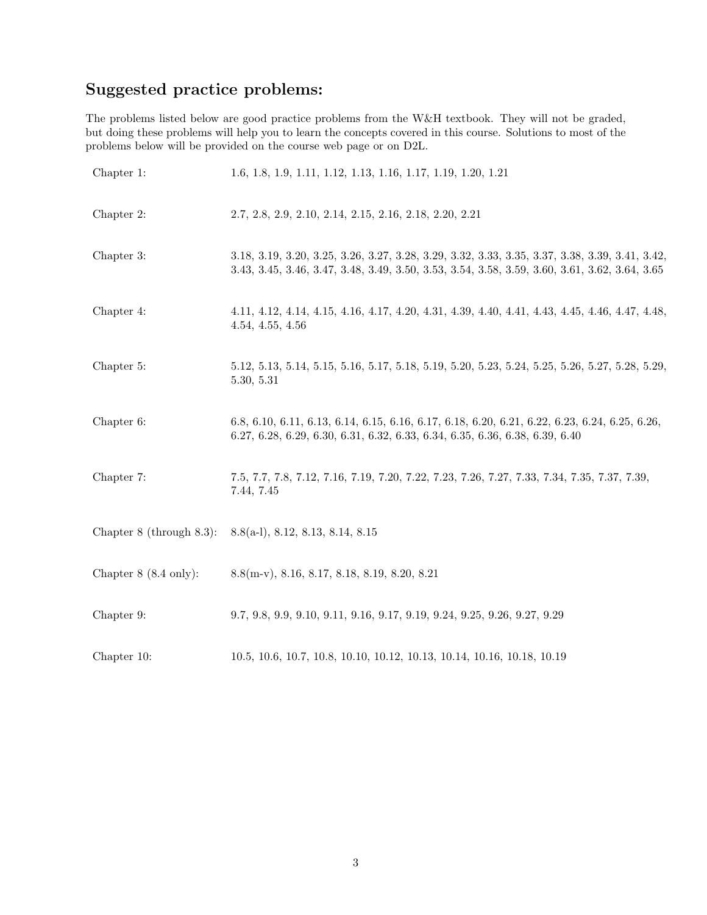# Suggested practice problems:

The problems listed below are good practice problems from the W&H textbook. They will not be graded, but doing these problems will help you to learn the concepts covered in this course. Solutions to most of the problems below will be provided on the course web page or on D2L.

| Chapter 1:                      | 1.6, 1.8, 1.9, 1.11, 1.12, 1.13, 1.16, 1.17, 1.19, 1.20, 1.21                                                                                                                                     |
|---------------------------------|---------------------------------------------------------------------------------------------------------------------------------------------------------------------------------------------------|
| Chapter 2:                      | 2.7, 2.8, 2.9, 2.10, 2.14, 2.15, 2.16, 2.18, 2.20, 2.21                                                                                                                                           |
| Chapter 3:                      | 3.18, 3.19, 3.20, 3.25, 3.26, 3.27, 3.28, 3.29, 3.32, 3.33, 3.35, 3.37, 3.38, 3.39, 3.41, 3.42,<br>3.43, 3.45, 3.46, 3.47, 3.48, 3.49, 3.50, 3.53, 3.54, 3.58, 3.59, 3.60, 3.61, 3.62, 3.64, 3.65 |
| Chapter 4:                      | 4.11, 4.12, 4.14, 4.15, 4.16, 4.17, 4.20, 4.31, 4.39, 4.40, 4.41, 4.43, 4.45, 4.46, 4.47, 4.48,<br>4.54, 4.55, 4.56                                                                               |
| Chapter 5:                      | 5.12, 5.13, 5.14, 5.15, 5.16, 5.17, 5.18, 5.19, 5.20, 5.23, 5.24, 5.25, 5.26, 5.27, 5.28, 5.29,<br>5.30, 5.31                                                                                     |
| Chapter 6:                      | 6.8, 6.10, 6.11, 6.13, 6.14, 6.15, 6.16, 6.17, 6.18, 6.20, 6.21, 6.22, 6.23, 6.24, 6.25, 6.26,<br>6.27, 6.28, 6.29, 6.30, 6.31, 6.32, 6.33, 6.34, 6.35, 6.36, 6.38, 6.39, 6.40                    |
| Chapter 7:                      | 7.5, 7.7, 7.8, 7.12, 7.16, 7.19, 7.20, 7.22, 7.23, 7.26, 7.27, 7.33, 7.34, 7.35, 7.37, 7.39,<br>7.44, 7.45                                                                                        |
| Chapter $8$ (through $8.3$ ):   | $8.8(a-1), 8.12, 8.13, 8.14, 8.15$                                                                                                                                                                |
| Chapter $8(8.4 \text{ only})$ : | $8.8(m-v)$ , 8.16, 8.17, 8.18, 8.19, 8.20, 8.21                                                                                                                                                   |
| Chapter 9:                      | 9.7, 9.8, 9.9, 9.10, 9.11, 9.16, 9.17, 9.19, 9.24, 9.25, 9.26, 9.27, 9.29                                                                                                                         |
| Chapter 10:                     | 10.5, 10.6, 10.7, 10.8, 10.10, 10.12, 10.13, 10.14, 10.16, 10.18, 10.19                                                                                                                           |